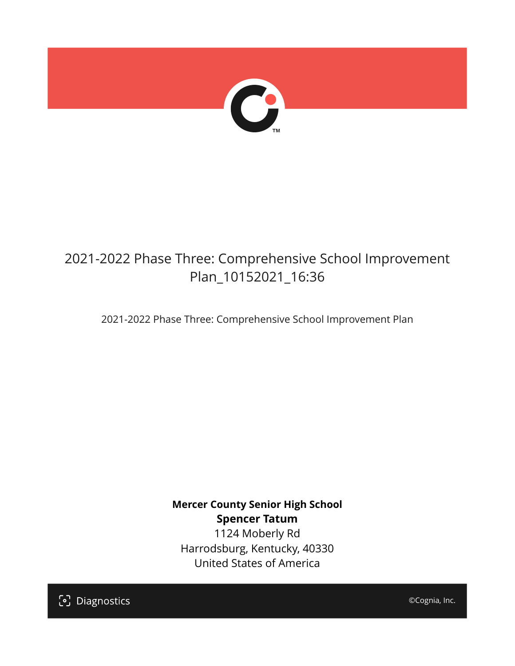

## 2021-2022 Phase Three: Comprehensive School Improvement Plan\_10152021\_16:36

2021-2022 Phase Three: Comprehensive School Improvement Plan

**Mercer County Senior High School Spencer Tatum** 1124 Moberly Rd Harrodsburg, Kentucky, 40330 United States of America

[၁] Diagnostics

©Cognia, Inc.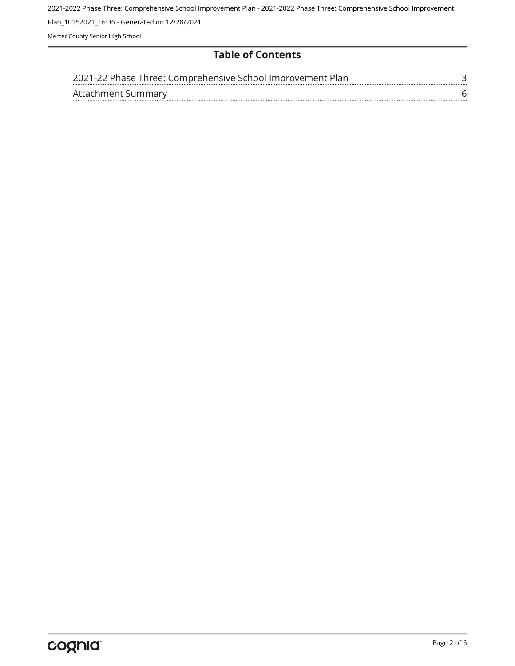2021-2022 Phase Three: Comprehensive School Improvement Plan - 2021-2022 Phase Three: Comprehensive School Improvement Plan\_10152021\_16:36 - Generated on 12/28/2021 Mercer County Senior High School

**Table of Contents**

| 2021-22 Phase Three: Comprehensive School Improvement Plan |  |
|------------------------------------------------------------|--|
| Attachment Summary                                         |  |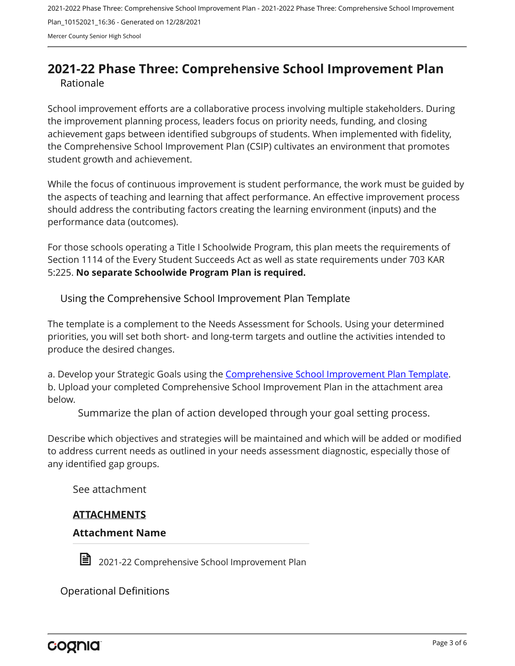2021-2022 Phase Three: Comprehensive School Improvement Plan - 2021-2022 Phase Three: Comprehensive School Improvement Plan\_10152021\_16:36 - Generated on 12/28/2021 Mercer County Senior High School

### <span id="page-2-0"></span>**2021-22 Phase Three: Comprehensive School Improvement Plan** Rationale

School improvement efforts are a collaborative process involving multiple stakeholders. During the improvement planning process, leaders focus on priority needs, funding, and closing achievement gaps between identified subgroups of students. When implemented with fidelity, the Comprehensive School Improvement Plan (CSIP) cultivates an environment that promotes student growth and achievement.

While the focus of continuous improvement is student performance, the work must be guided by the aspects of teaching and learning that affect performance. An effective improvement process should address the contributing factors creating the learning environment (inputs) and the performance data (outcomes).

For those schools operating a Title I Schoolwide Program, this plan meets the requirements of Section 1114 of the Every Student Succeeds Act as well as state requirements under 703 KAR 5:225. **No separate Schoolwide Program Plan is required.**

Using the Comprehensive School Improvement Plan Template

The template is a complement to the Needs Assessment for Schools. Using your determined priorities, you will set both short- and long-term targets and outline the activities intended to produce the desired changes.

a. Develop your Strategic Goals using the [Comprehensive School Improvement Plan Template](https://education.ky.gov/school/csip/Documents/KDE Comprehensive Improvement Plan for School.docx). b. Upload your completed Comprehensive School Improvement Plan in the attachment area below.

Summarize the plan of action developed through your goal setting process.

Describe which objectives and strategies will be maintained and which will be added or modified to address current needs as outlined in your needs assessment diagnostic, especially those of any identified gap groups.

See attachment

#### **ATTACHMENTS**

#### **Attachment Name**



 $\blacksquare$  2021-22 Comprehensive School Improvement Plan

Operational Definitions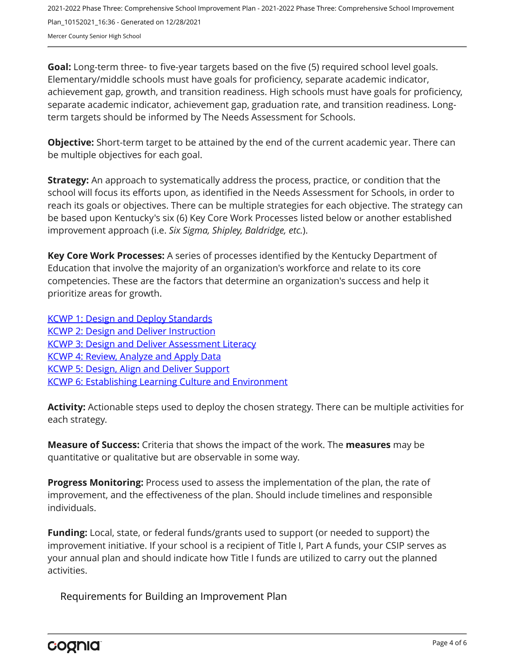2021-2022 Phase Three: Comprehensive School Improvement Plan - 2021-2022 Phase Three: Comprehensive School Improvement Plan\_10152021\_16:36 - Generated on 12/28/2021 Mercer County Senior High School

**Goal:** Long-term three- to five-year targets based on the five (5) required school level goals. Elementary/middle schools must have goals for proficiency, separate academic indicator, achievement gap, growth, and transition readiness. High schools must have goals for proficiency, separate academic indicator, achievement gap, graduation rate, and transition readiness. Longterm targets should be informed by The Needs Assessment for Schools.

**Objective:** Short-term target to be attained by the end of the current academic year. There can be multiple objectives for each goal.

**Strategy:** An approach to systematically address the process, practice, or condition that the school will focus its efforts upon, as identified in the Needs Assessment for Schools, in order to reach its goals or objectives. There can be multiple strategies for each objective. The strategy can be based upon Kentucky's six (6) Key Core Work Processes listed below or another established improvement approach (i.e. *Six Sigma, Shipley, Baldridge, etc.*).

**Key Core Work Processes:** A series of processes identified by the Kentucky Department of Education that involve the majority of an organization's workforce and relate to its core competencies. These are the factors that determine an organization's success and help it prioritize areas for growth.

[KCWP 1: Design and Deploy Standards](https://education.ky.gov/school/csip/Documents/KCWP%201%20Strategic%20Design%20and%20Deploy%20Standards.pdf) **[KCWP 2: Design and Deliver Instruction](https://education.ky.gov/school/csip/Documents/KCWP%202%20Strategic%20Design%20and%20Deliver%20Instruction.pdf)** [KCWP 3: Design and Deliver Assessment Literacy](https://education.ky.gov/school/csip/Documents/KCWP%203%20Strategic%20Design%20and%20Deliver%20Assessment%20Literacy.pdf) [KCWP 4: Review, Analyze and Apply Data](https://education.ky.gov/school/csip/Documents/KCWP%204%20Strategic%20Review%20Analyze%20and%20Apply%20Data.pdf) [KCWP 5: Design, Align and Deliver Support](https://education.ky.gov/school/csip/Documents/KCWP%205%20Strategic%20Design%20Align%20Deliver%20Support%20Processes.pdf) [KCWP 6: Establishing Learning Culture and Environment](https://education.ky.gov/school/csip/Documents/KCWP%206%20Strategic%20Establish%20Learning%20Culture%20and%20Environment.pdf)

**Activity:** Actionable steps used to deploy the chosen strategy. There can be multiple activities for each strategy.

**Measure of Success:** Criteria that shows the impact of the work. The **measures** may be quantitative or qualitative but are observable in some way.

**Progress Monitoring:** Process used to assess the implementation of the plan, the rate of improvement, and the effectiveness of the plan. Should include timelines and responsible individuals.

**Funding:** Local, state, or federal funds/grants used to support (or needed to support) the improvement initiative. If your school is a recipient of Title I, Part A funds, your CSIP serves as your annual plan and should indicate how Title I funds are utilized to carry out the planned activities.

Requirements for Building an Improvement Plan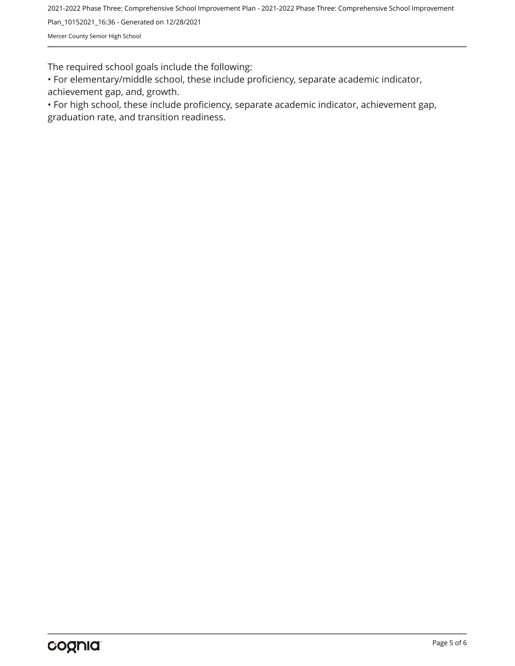2021-2022 Phase Three: Comprehensive School Improvement Plan - 2021-2022 Phase Three: Comprehensive School Improvement

Plan\_10152021\_16:36 - Generated on 12/28/2021

Mercer County Senior High School

The required school goals include the following:

• For elementary/middle school, these include proficiency, separate academic indicator, achievement gap, and, growth.

• For high school, these include proficiency, separate academic indicator, achievement gap, graduation rate, and transition readiness.